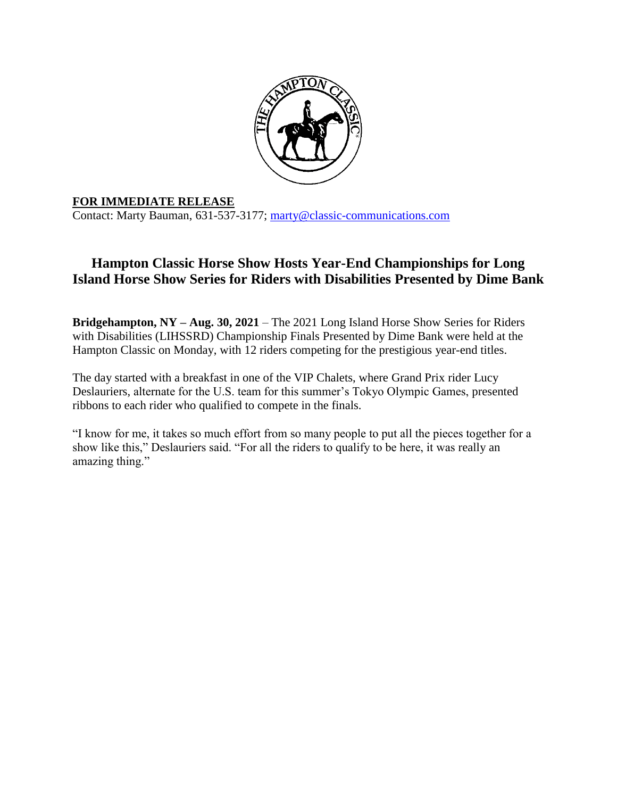

## **FOR IMMEDIATE RELEASE**

Contact: Marty Bauman, 631-537-3177; [marty@classic-communications.com](about:blank)

## **Hampton Classic Horse Show Hosts Year-End Championships for Long Island Horse Show Series for Riders with Disabilities Presented by Dime Bank**

**Bridgehampton, NY – Aug. 30, 2021** – The 2021 Long Island Horse Show Series for Riders with Disabilities (LIHSSRD) Championship Finals Presented by Dime Bank were held at the Hampton Classic on Monday, with 12 riders competing for the prestigious year-end titles.

The day started with a breakfast in one of the VIP Chalets, where Grand Prix rider Lucy Deslauriers, alternate for the U.S. team for this summer's Tokyo Olympic Games, presented ribbons to each rider who qualified to compete in the finals.

"I know for me, it takes so much effort from so many people to put all the pieces together for a show like this," Deslauriers said. "For all the riders to qualify to be here, it was really an amazing thing."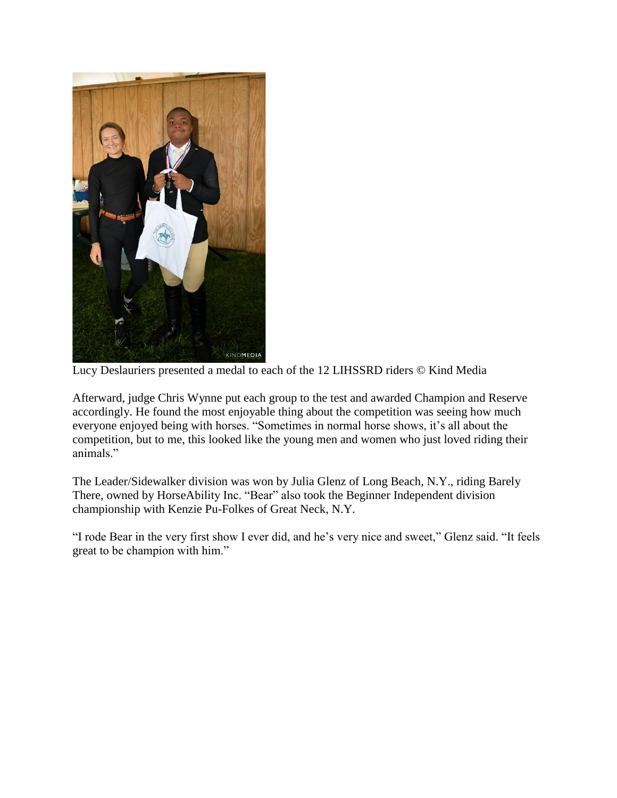

Lucy Deslauriers presented a medal to each of the 12 LIHSSRD riders © Kind Media

Afterward, judge Chris Wynne put each group to the test and awarded Champion and Reserve accordingly. He found the most enjoyable thing about the competition was seeing how much everyone enjoyed being with horses. "Sometimes in normal horse shows, it's all about the competition, but to me, this looked like the young men and women who just loved riding their animals."

The Leader/Sidewalker division was won by Julia Glenz of Long Beach, N.Y., riding Barely There, owned by HorseAbility Inc. "Bear" also took the Beginner Independent division championship with Kenzie Pu-Folkes of Great Neck, N.Y.

"I rode Bear in the very first show I ever did, and he's very nice and sweet," Glenz said. "It feels great to be champion with him."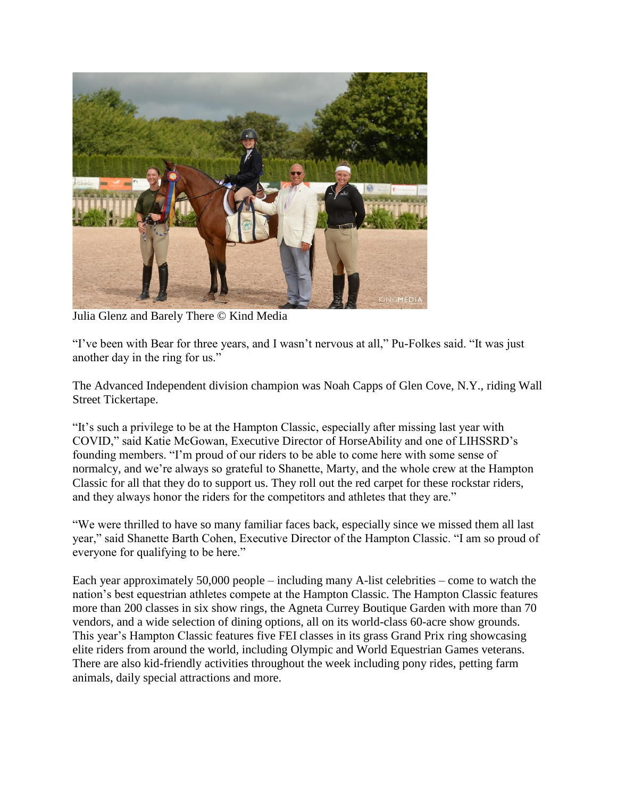

Julia Glenz and Barely There © Kind Media

"I've been with Bear for three years, and I wasn't nervous at all," Pu-Folkes said. "It was just another day in the ring for us."

The Advanced Independent division champion was Noah Capps of Glen Cove, N.Y., riding Wall Street Tickertape.

"It's such a privilege to be at the Hampton Classic, especially after missing last year with COVID," said Katie McGowan, Executive Director of HorseAbility and one of LIHSSRD's founding members. "I'm proud of our riders to be able to come here with some sense of normalcy, and we're always so grateful to Shanette, Marty, and the whole crew at the Hampton Classic for all that they do to support us. They roll out the red carpet for these rockstar riders, and they always honor the riders for the competitors and athletes that they are."

"We were thrilled to have so many familiar faces back, especially since we missed them all last year," said Shanette Barth Cohen, Executive Director of the Hampton Classic. "I am so proud of everyone for qualifying to be here."

Each year approximately 50,000 people – including many A-list celebrities – come to watch the nation's best equestrian athletes compete at the Hampton Classic. The Hampton Classic features more than 200 classes in six show rings, the Agneta Currey Boutique Garden with more than 70 vendors, and a wide selection of dining options, all on its world-class 60-acre show grounds. This year's Hampton Classic features five FEI classes in its grass Grand Prix ring showcasing elite riders from around the world, including Olympic and World Equestrian Games veterans. There are also kid-friendly activities throughout the week including pony rides, petting farm animals, daily special attractions and more.